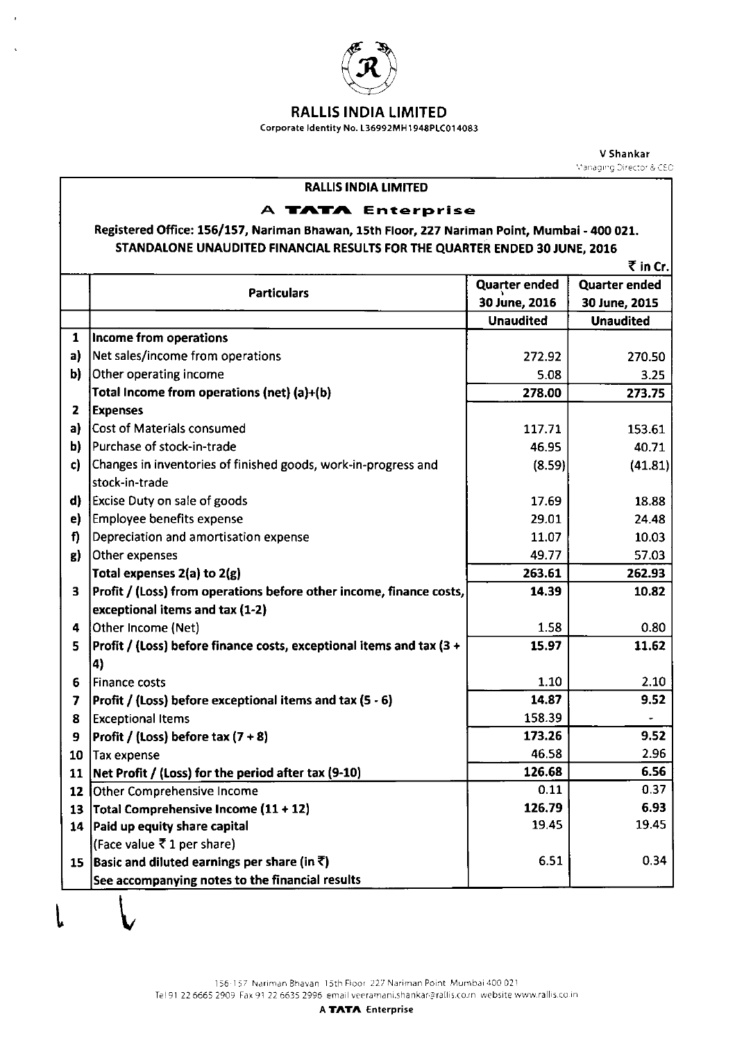

 $\bar{r}$ 

 $\tilde{\mathbf{v}}$ 

## RALLIS INDIA LIMITED

Corporate ldentity No L36992MH1948PLC014083

V Shankar Managing Director & CEO

| <b>RALLIS INDIA LIMITED</b>                                                                  |                                                                      |                      |                      |  |
|----------------------------------------------------------------------------------------------|----------------------------------------------------------------------|----------------------|----------------------|--|
| A TATA Enterprise                                                                            |                                                                      |                      |                      |  |
| Registered Office: 156/157, Nariman Bhawan, 15th Floor, 227 Nariman Point, Mumbai - 400 021. |                                                                      |                      |                      |  |
| STANDALONE UNAUDITED FINANCIAL RESULTS FOR THE QUARTER ENDED 30 JUNE, 2016                   |                                                                      |                      |                      |  |
| $\bar{\tau}$ in Cr.                                                                          |                                                                      |                      |                      |  |
|                                                                                              |                                                                      | <b>Quarter ended</b> | <b>Quarter ended</b> |  |
|                                                                                              | <b>Particulars</b>                                                   | 30 June, 2016        | 30 June, 2015        |  |
|                                                                                              |                                                                      | <b>Unaudited</b>     | <b>Unaudited</b>     |  |
| 1                                                                                            | Income from operations                                               |                      |                      |  |
| a)                                                                                           | Net sales/income from operations                                     | 272.92               | 270.50               |  |
| b)                                                                                           | Other operating income                                               | 5.08                 | 3.25                 |  |
|                                                                                              | Total Income from operations (net) (a)+(b)                           | 278.00               | 273.75               |  |
| $\mathbf{z}$                                                                                 | <b>Expenses</b>                                                      |                      |                      |  |
| a)                                                                                           | Cost of Materials consumed                                           | 117.71               | 153.61               |  |
| b)                                                                                           | Purchase of stock-in-trade                                           | 46.95                | 40.71                |  |
| c)                                                                                           | Changes in inventories of finished goods, work-in-progress and       | (8.59)               | (41.81)              |  |
|                                                                                              | stock-in-trade                                                       |                      |                      |  |
| d)                                                                                           | <b>Excise Duty on sale of goods</b>                                  | 17.69                | 18.88                |  |
| e)                                                                                           | <b>Employee benefits expense</b>                                     | 29.01                | 24.48                |  |
| f)                                                                                           | Depreciation and amortisation expense                                | 11.07                | 10.03                |  |
| g)                                                                                           | Other expenses                                                       | 49.77                | 57.03                |  |
|                                                                                              | Total expenses $2(a)$ to $2(g)$                                      | 263.61               | 262.93               |  |
| $\overline{\mathbf{3}}$                                                                      | Profit / (Loss) from operations before other income, finance costs,  | 14.39                | 10.82                |  |
|                                                                                              | exceptional items and tax (1-2)                                      |                      |                      |  |
| 4                                                                                            | Other Income (Net)                                                   | 1.58                 | 0.80                 |  |
| 5                                                                                            | Profit / (Loss) before finance costs, exceptional items and tax (3 + | 15.97                | 11.62                |  |
|                                                                                              | $\vert$ 4)                                                           |                      |                      |  |
| 6                                                                                            | <b>Finance costs</b>                                                 | 1.10                 | 2.10                 |  |
| 7                                                                                            | Profit / (Loss) before exceptional items and tax (5 - 6)             | 14.87                | 9.52                 |  |
| 8                                                                                            | <b>Exceptional Items</b>                                             | 158.39               |                      |  |
| 9                                                                                            | Profit / (Loss) before tax $(7 + 8)$                                 | 173.26               | 9.52                 |  |
| 10                                                                                           | <b>Tax expense</b>                                                   | 46.58                | 2.96                 |  |
| 11                                                                                           | Net Profit / (Loss) for the period after tax (9-10)                  | 126.68               | 6.56                 |  |
| 12                                                                                           | Other Comprehensive Income                                           | 0.11                 | 0.37                 |  |
| 13                                                                                           | Total Comprehensive Income (11 + 12)                                 | 126.79               | 6.93                 |  |
| 14                                                                                           | Paid up equity share capital                                         | 19.45                | 19.45                |  |
|                                                                                              | (Face value ₹1 per share)                                            |                      |                      |  |
| 15                                                                                           | $ $ Basic and diluted earnings per share (in ₹)                      | 6.51                 | 0.34                 |  |
|                                                                                              | See accompanying notes to the financial results                      |                      |                      |  |